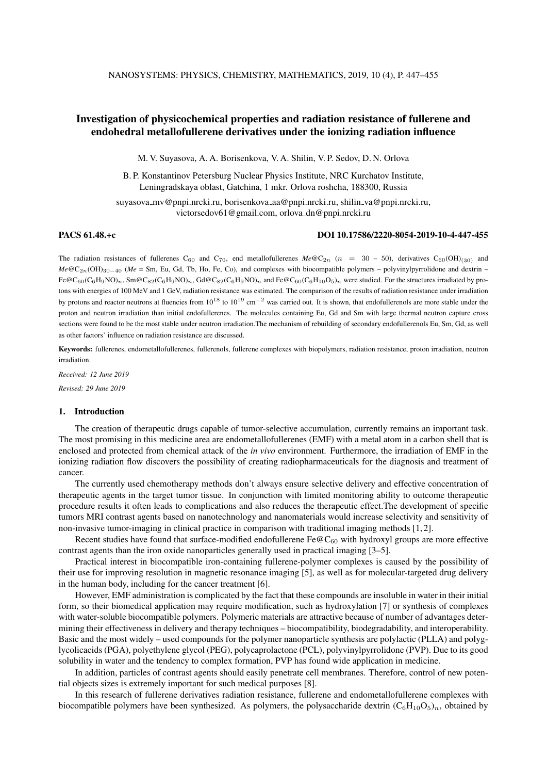# Investigation of physicochemical properties and radiation resistance of fullerene and endohedral metallofullerene derivatives under the ionizing radiation influence

M. V. Suyasova, A. A. Borisenkova, V. A. Shilin, V. P. Sedov, D. N. Orlova

B. P. Konstantinov Petersburg Nuclear Physics Institute, NRC Kurchatov Institute, Leningradskaya oblast, Gatchina, 1 mkr. Orlova roshcha, 188300, Russia

suyasova\_mv@pnpi.nrcki.ru, borisenkova\_aa@pnpi.nrcki.ru, shilin\_va@pnpi.nrcki.ru, victorsedov61@gmail.com, orlova dn@pnpi.nrcki.ru

# PACS 61.48.+c DOI 10.17586/2220-8054-2019-10-4-447-455

The radiation resistances of fullerenes C<sub>60</sub> and C<sub>70</sub>, end metallofullerenes  $Me@C_{2n}$  ( $n = 30 - 50$ ), derivatives C<sub>60</sub>(OH)<sub>(30)</sub> and *Me* @C<sub>2n</sub>(OH)<sub>30−40</sub> (*Me* = Sm, Eu, Gd, Tb, Ho, Fe, Co), and complexes with biocompatible polymers – polyvinylpyrrolidone and dextrin –  $Fe@C_{60}(C_6H_9NO)_n$ , Sm $@C_{82}(C_6H_9NO)_n$ , Gd $@C_{82}(C_6H_9NO)_n$  and  $Fe@C_{60}(C_6H_{10}O_5)_n$  were studied. For the structures irradiated by protons with energies of 100 MeV and 1 GeV, radiation resistance was estimated. The comparison of the results of radiation resistance under irradiation by protons and reactor neutrons at fluencies from  $10^{18}$  to  $10^{19}$  cm<sup>-2</sup> was carried out. It is shown, that endofullerenols are more stable under the proton and neutron irradiation than initial endofullerenes. The molecules containing Eu, Gd and Sm with large thermal neutron capture cross sections were found to be the most stable under neutron irradiation.The mechanism of rebuilding of secondary endofullerenols Eu, Sm, Gd, as well as other factors' influence on radiation resistance are discussed.

Keywords: fullerenes, endometallofullerenes, fullerenols, fullerene complexes with biopolymers, radiation resistance, proton irradiation, neutron irradiation.

*Received: 12 June 2019 Revised: 29 June 2019*

#### 1. Introduction

The creation of therapeutic drugs capable of tumor-selective accumulation, currently remains an important task. The most promising in this medicine area are endometallofullerenes (EMF) with a metal atom in a carbon shell that is enclosed and protected from chemical attack of the *in vivo* environment. Furthermore, the irradiation of EMF in the ionizing radiation flow discovers the possibility of creating radiopharmaceuticals for the diagnosis and treatment of cancer.

The currently used chemotherapy methods don't always ensure selective delivery and effective concentration of therapeutic agents in the target tumor tissue. In conjunction with limited monitoring ability to outcome therapeutic procedure results it often leads to complications and also reduces the therapeutic effect.The development of specific tumors MRI contrast agents based on nanotechnology and nanomaterials would increase selectivity and sensitivity of non-invasive tumor-imaging in clinical practice in comparison with traditional imaging methods [1, 2].

Recent studies have found that surface-modified endofullerene  $Fe@C_{60}$  with hydroxyl groups are more effective contrast agents than the iron oxide nanoparticles generally used in practical imaging [3–5].

Practical interest in biocompatible iron-containing fullerene-polymer complexes is caused by the possibility of their use for improving resolution in magnetic resonance imaging [5], as well as for molecular-targeted drug delivery in the human body, including for the cancer treatment [6].

However, EMF administration is complicated by the fact that these compounds are insoluble in water in their initial form, so their biomedical application may require modification, such as hydroxylation [7] or synthesis of complexes with water-soluble biocompatible polymers. Polymeric materials are attractive because of number of advantages determining their effectiveness in delivery and therapy techniques – biocompatibility, biodegradability, and interoperability. Basic and the most widely – used compounds for the polymer nanoparticle synthesis are polylactic (PLLA) and polyglycolicacids (PGA), polyethylene glycol (PEG), polycaprolactone (PCL), polyvinylpyrrolidone (PVP). Due to its good solubility in water and the tendency to complex formation, PVP has found wide application in medicine.

In addition, particles of contrast agents should easily penetrate cell membranes. Therefore, control of new potential objects sizes is extremely important for such medical purposes [8].

In this research of fullerene derivatives radiation resistance, fullerene and endometallofullerene complexes with biocompatible polymers have been synthesized. As polymers, the polysaccharide dextrin  $(C_6H_{10}O_5)_n$ , obtained by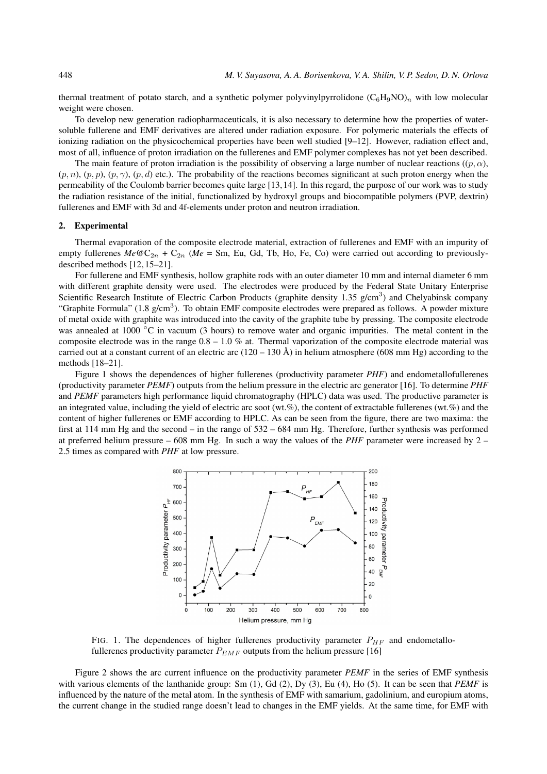thermal treatment of potato starch, and a synthetic polymer polyvinylpyrrolidone  $(C_6H_9NO)_n$  with low molecular weight were chosen.

To develop new generation radiopharmaceuticals, it is also necessary to determine how the properties of watersoluble fullerene and EMF derivatives are altered under radiation exposure. For polymeric materials the effects of ionizing radiation on the physicochemical properties have been well studied [9–12]. However, radiation effect and, most of all, influence of proton irradiation on the fullerenes and EMF polymer complexes has not yet been described.

The main feature of proton irradiation is the possibility of observing a large number of nuclear reactions ( $(p, \alpha)$ ,  $(p, n)$ ,  $(p, p)$ ,  $(p, \gamma)$ ,  $(p, d)$  etc.). The probability of the reactions becomes significant at such proton energy when the permeability of the Coulomb barrier becomes quite large [13, 14]. In this regard, the purpose of our work was to study the radiation resistance of the initial, functionalized by hydroxyl groups and biocompatible polymers (PVP, dextrin) fullerenes and EMF with 3d and 4f-elements under proton and neutron irradiation.

# 2. Experimental

Thermal evaporation of the composite electrode material, extraction of fullerenes and EMF with an impurity of empty fullerenes  $Me@C_{2n} + C_{2n}$  ( $Me = Sm$ , Eu, Gd, Tb, Ho, Fe, Co) were carried out according to previouslydescribed methods [12, 15–21].

For fullerene and EMF synthesis, hollow graphite rods with an outer diameter 10 mm and internal diameter 6 mm with different graphite density were used. The electrodes were produced by the Federal State Unitary Enterprise Scientific Research Institute of Electric Carbon Products (graphite density 1.35 g/cm<sup>3</sup>) and Chelyabinsk company "Graphite Formula" (1.8 g/cm<sup>3</sup>). To obtain EMF composite electrodes were prepared as follows. A powder mixture of metal oxide with graphite was introduced into the cavity of the graphite tube by pressing. The composite electrode was annealed at 1000 °C in vacuum (3 hours) to remove water and organic impurities. The metal content in the composite electrode was in the range  $0.8 - 1.0 \%$  at. Thermal vaporization of the composite electrode material was carried out at a constant current of an electric arc  $(120 - 130 \text{ Å})$  in helium atmosphere (608 mm Hg) according to the methods [18–21].

Figure 1 shows the dependences of higher fullerenes (productivity parameter *PHF*) and endometallofullerenes (productivity parameter *PEMF*) outputs from the helium pressure in the electric arc generator [16]. To determine *PHF* and *PEMF* parameters high performance liquid chromatography (HPLC) data was used. The productive parameter is an integrated value, including the yield of electric arc soot (wt.%), the content of extractable fullerenes (wt.%) and the content of higher fullerenes or EMF according to HPLC. As can be seen from the figure, there are two maxima: the first at 114 mm Hg and the second – in the range of 532 – 684 mm Hg. Therefore, further synthesis was performed at preferred helium pressure – 608 mm Hg. In such a way the values of the *PHF* parameter were increased by 2 – 2.5 times as compared with *PHF* at low pressure.



FIG. 1. The dependences of higher fullerenes productivity parameter  $P_{HF}$  and endometallofullerenes productivity parameter  $P_{EMF}$  outputs from the helium pressure [16]

Figure 2 shows the arc current influence on the productivity parameter *PEMF* in the series of EMF synthesis with various elements of the lanthanide group: Sm (1), Gd (2), Dy (3), Eu (4), Ho (5). It can be seen that *PEMF* is influenced by the nature of the metal atom. In the synthesis of EMF with samarium, gadolinium, and europium atoms, the current change in the studied range doesn't lead to changes in the EMF yields. At the same time, for EMF with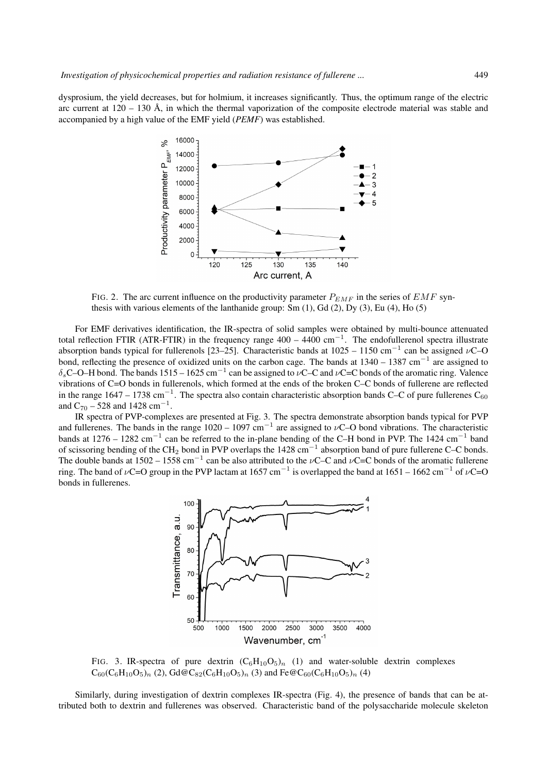dysprosium, the yield decreases, but for holmium, it increases significantly. Thus, the optimum range of the electric arc current at  $120 - 130 \text{ Å}$ , in which the thermal vaporization of the composite electrode material was stable and accompanied by a high value of the EMF yield (*PEMF*) was established.



FIG. 2. The arc current influence on the productivity parameter  $P_{EMF}$  in the series of  $EMF$  synthesis with various elements of the lanthanide group: Sm  $(1)$ , Gd  $(2)$ , Dy  $(3)$ , Eu  $(4)$ , Ho  $(5)$ 

For EMF derivatives identification, the IR-spectra of solid samples were obtained by multi-bounce attenuated total reflection FTIR (ATR-FTIR) in the frequency range  $400 - 4400$  cm<sup>-1</sup>. The endofullerenol spectra illustrate absorption bands typical for fullerenols [23–25]. Characteristic bands at 1025 – 1150 cm<sup>-1</sup> can be assigned vC–O bond, reflecting the presence of oxidized units on the carbon cage. The bands at  $1340 - 1387$  cm<sup>-1</sup> are assigned to  $\delta_s$ C–O–H bond. The bands 1515 – 1625 cm<sup>-1</sup> can be assigned to vC–C and vC=C bonds of the aromatic ring. Valence vibrations of C=O bonds in fullerenols, which formed at the ends of the broken C–C bonds of fullerene are reflected in the range 1647 – 1738 cm<sup>-1</sup>. The spectra also contain characteristic absorption bands C–C of pure fullerenes C<sub>60</sub> and C<sub>70</sub> – 528 and 1428 cm<sup>-1</sup>.

IR spectra of PVP-complexes are presented at Fig. 3. The spectra demonstrate absorption bands typical for PVP and fullerenes. The bands in the range  $1020 - 1097$  cm<sup>-1</sup> are assigned to  $\nu$ C–O bond vibrations. The characteristic bands at 1276 – 1282 cm<sup>-1</sup> can be referred to the in-plane bending of the C–H bond in PVP. The 1424 cm<sup>-1</sup> band of scissoring bending of the CH<sub>2</sub> bond in PVP overlaps the 1428 cm<sup>-1</sup> absorption band of pure fullerene C–C bonds. The double bands at 1502 – 1558 cm<sup>-1</sup> can be also attributed to the  $\nu$ C–C and  $\nu$ C=C bonds of the aromatic fullerene ring. The band of vC=O group in the PVP lactam at 1657 cm<sup>-1</sup> is overlapped the band at 1651 – 1662 cm<sup>-1</sup> of vC=O bonds in fullerenes.



FIG. 3. IR-spectra of pure dextrin  $(C_6H_{10}O_5)_n$  (1) and water-soluble dextrin complexes  $C_{60}(C_6H_{10}O_5)_n$  (2),  $Gd@C_{82}(C_6H_{10}O_5)_n$  (3) and  $Fe@C_{60}(C_6H_{10}O_5)_n$  (4)

Similarly, during investigation of dextrin complexes IR-spectra (Fig. 4), the presence of bands that can be attributed both to dextrin and fullerenes was observed. Characteristic band of the polysaccharide molecule skeleton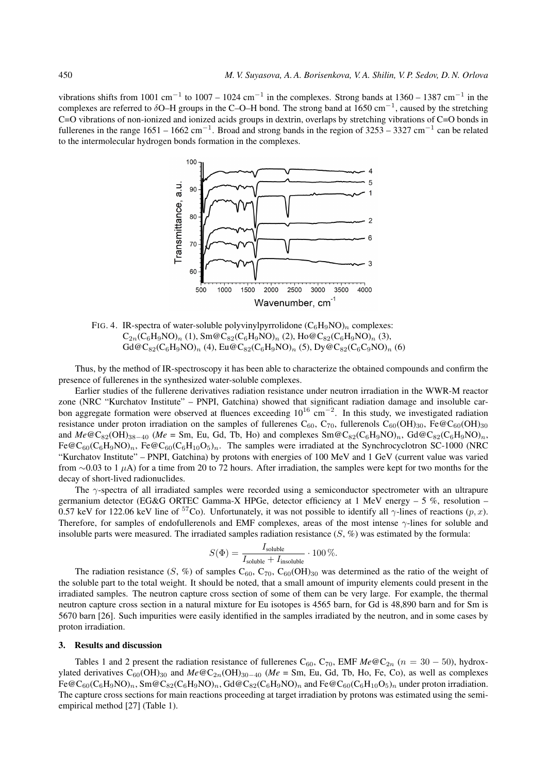vibrations shifts from 1001 cm<sup>-1</sup> to 1007 – 1024 cm<sup>-1</sup> in the complexes. Strong bands at 1360 – 1387 cm<sup>-1</sup> in the complexes are referred to  $\delta$ O–H groups in the C–O–H bond. The strong band at 1650 cm<sup>-1</sup>, caused by the stretching C=O vibrations of non-ionized and ionized acids groups in dextrin, overlaps by stretching vibrations of C=O bonds in fullerenes in the range 1651 – 1662 cm<sup>-1</sup>. Broad and strong bands in the region of 3253 – 3327 cm<sup>-1</sup> can be related to the intermolecular hydrogen bonds formation in the complexes.



FIG. 4. IR-spectra of water-soluble polyvinylpyrrolidone  $(C_6H_9NO)_n$  complexes:  $C_{2n}(C_6H_9NO)_n$  (1),  $Sm@C_{82}(C_6H_9NO)_n$  (2),  $Ho@C_{82}(C_6H_9NO)_n$  (3),  $Gd@C_{82}(C_6H_9NO)_n$  (4),  $Eu@C_{82}(C_6H_9NO)_n$  (5),  $Dy@C_{82}(C_6C_9NO)_n$  (6)

Thus, by the method of IR-spectroscopy it has been able to characterize the obtained compounds and confirm the presence of fullerenes in the synthesized water-soluble complexes.

Earlier studies of the fullerene derivatives radiation resistance under neutron irradiation in the WWR-M reactor zone (NRC "Kurchatov Institute" – PNPI, Gatchina) showed that significant radiation damage and insoluble carbon aggregate formation were observed at fluences exceeding  $10^{16}$  cm<sup>-2</sup>. In this study, we investigated radiation resistance under proton irradiation on the samples of fullerenes  $C_{60}$ ,  $C_{70}$ , fullerenols  $C_{60}(OH)_{30}$ , Fe@C<sub>60</sub>(OH)<sub>30</sub> and  $Me@C_{82}(OH)_{38-40}$  ( $Me$  = Sm, Eu, Gd, Tb, Ho) and complexes  $Sm@C_{82}(C_6H_9NO)_n$ ,  $Gd@C_{82}(C_6H_9NO)_n$ ,  $Fe@C_{60}(C_6H_9NO)_n$ ,  $Fe@C_{60}(C_6H_{10}O_5)_n$ . The samples were irradiated at the Synchrocyclotron SC-1000 (NRC "Kurchatov Institute" – PNPI, Gatchina) by protons with energies of 100 MeV and 1 GeV (current value was varied from ∼0.03 to 1  $\mu$ A) for a time from 20 to 72 hours. After irradiation, the samples were kept for two months for the decay of short-lived radionuclides.

The  $\gamma$ -spectra of all irradiated samples were recorded using a semiconductor spectrometer with an ultrapure germanium detector (EG&G ORTEC Gamma-X HPGe, detector efficiency at 1 MeV energy  $-5\%$ , resolution – 0.57 keV for 122.06 keV line of <sup>57</sup>Co). Unfortunately, it was not possible to identify all  $\gamma$ -lines of reactions (p, x). Therefore, for samples of endofullerenols and EMF complexes, areas of the most intense  $\gamma$ -lines for soluble and insoluble parts were measured. The irradiated samples radiation resistance  $(S, \mathcal{C})$  was estimated by the formula:

$$
S(\Phi) = \frac{I_{\text{soluble}}}{I_{\text{soluble}} + I_{\text{insoluble}}} \cdot 100\,\%.
$$

The radiation resistance  $(S, \mathcal{C})$  of samples  $C_{60}$ ,  $C_{70}$ ,  $C_{60}$ (OH)<sub>30</sub> was determined as the ratio of the weight of the soluble part to the total weight. It should be noted, that a small amount of impurity elements could present in the irradiated samples. The neutron capture cross section of some of them can be very large. For example, the thermal neutron capture cross section in a natural mixture for Eu isotopes is 4565 barn, for Gd is 48,890 barn and for Sm is 5670 barn [26]. Such impurities were easily identified in the samples irradiated by the neutron, and in some cases by proton irradiation.

# 3. Results and discussion

Tables 1 and 2 present the radiation resistance of fullerenes C<sub>60</sub>, C<sub>70</sub>, EMF  $Me@C_{2n}$  (n = 30 – 50), hydroxylated derivatives C<sub>60</sub>(OH)<sub>30</sub> and *Me* @C<sub>2n</sub>(OH)<sub>30</sub><sub>−40</sub> (*Me* = Sm, Eu, Gd, Tb, Ho, Fe, Co), as well as complexes  $Fe@C_{60}(C_6H_9NO)_n$ , Sm $@C_{82}(C_6H_9NO)_n$ , Gd $@C_{82}(C_6H_9NO)_n$  and  $Fe@C_{60}(C_6H_{10}O_5)_n$  under proton irradiation. The capture cross sections for main reactions proceeding at target irradiation by protons was estimated using the semiempirical method [27] (Table 1).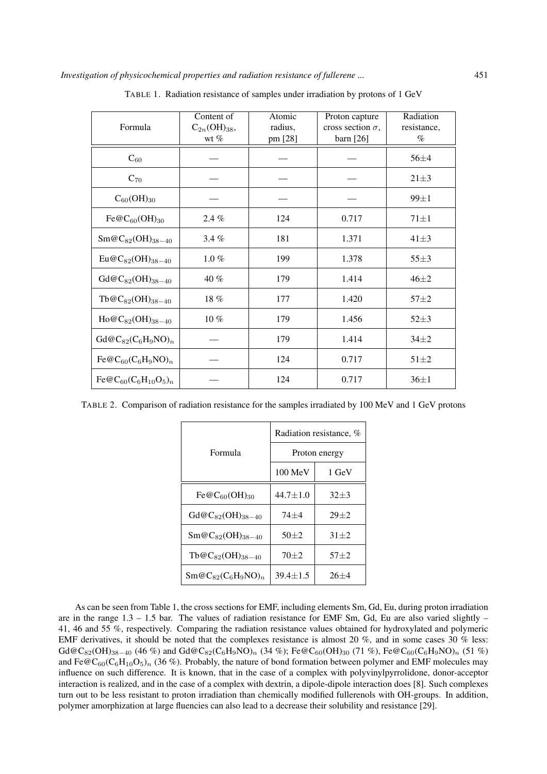| Formula                                             | Content of<br>$C_{2n}(OH)_{38}$ ,<br>wt $%$ | Atomic<br>radius,<br>pm [28] | Proton capture<br>cross section $\sigma$ ,<br>barn $[26]$ | Radiation<br>resistance,<br>$\%$ |
|-----------------------------------------------------|---------------------------------------------|------------------------------|-----------------------------------------------------------|----------------------------------|
| $\mathrm{C}_{60}$                                   |                                             |                              |                                                           | $56 \pm 4$                       |
| $C_{70}$                                            |                                             |                              |                                                           | $21 \pm 3$                       |
| $C_{60}(OH)_{30}$                                   |                                             |                              |                                                           | $99 \pm 1$                       |
| $Fe@C_{60}(OH)_{30}$                                | $2.4\%$                                     | 124                          | 0.717                                                     | $71 \pm 1$                       |
| $Sm@C_{82}(OH)_{38-40}$                             | 3.4%                                        | 181                          | 1.371                                                     | $41\pm3$                         |
| $Eu@C_{82}(OH)_{38-40}$                             | $1.0 \%$                                    | 199                          | 1.378                                                     | $55+3$                           |
| $Gd@C_{82}(OH)_{38-40}$                             | $40\%$                                      | 179                          | 1.414                                                     | $46\pm2$                         |
| $Tb@C_{82}(OH)_{38-40}$                             | $18~\%$                                     | 177                          | 1.420                                                     | $57\pm2$                         |
| $Ho@C_{82}(OH)_{38-40}$                             | $10\%$                                      | 179                          | 1.456                                                     | $52 + 3$                         |
| $Gd@C_{82}(C_6H_9NO)_n$                             |                                             | 179                          | 1.414                                                     | $34\pm2$                         |
| $\text{Fe@C}_{60}(\text{C}_6\text{H}_9\text{NO})_n$ |                                             | 124                          | 0.717                                                     | $51\pm2$                         |
| $Fe@C_{60}(C_6H_{10}O_5)_n$                         |                                             | 124                          | 0.717                                                     | $36 \pm 1$                       |

TABLE 1. Radiation resistance of samples under irradiation by protons of 1 GeV

TABLE 2. Comparison of radiation resistance for the samples irradiated by 100 MeV and 1 GeV protons

|                         | Radiation resistance, % |          |  |  |
|-------------------------|-------------------------|----------|--|--|
| Formula                 | Proton energy           |          |  |  |
|                         | $100$ MeV               | 1 GeV    |  |  |
| $Fe@C_{60}(OH)_{30}$    | $44.7 \pm 1.0$          | $32+3$   |  |  |
| $Gd@C_{82}(OH)_{38-40}$ | 74+4                    | $29 + 2$ |  |  |
| $Sm@C_{82}(OH)_{38-40}$ | $50+2$                  | $31 + 2$ |  |  |
| $Tb@C_{82}(OH)_{38-40}$ | $70 + 2$                | $57 + 2$ |  |  |
| $Sm@C_{82}(C_6H_9NO)_n$ | $39.4 \pm 1.5$          | $26+4$   |  |  |

As can be seen from Table 1, the cross sections for EMF, including elements Sm, Gd, Eu, during proton irradiation are in the range 1.3 – 1.5 bar. The values of radiation resistance for EMF Sm, Gd, Eu are also varied slightly – 41, 46 and 55 %, respectively. Comparing the radiation resistance values obtained for hydroxylated and polymeric EMF derivatives, it should be noted that the complexes resistance is almost 20 %, and in some cases 30 % less:  $Gd@C_{82}(OH)_{38-40}$  (46 %) and  $Gd@C_{82}(C_6H_9NO)_n$  (34 %); Fe@C<sub>60</sub>(OH)<sub>30</sub> (71 %), Fe@C<sub>60</sub>(C<sub>6</sub>H<sub>9</sub>NO)<sub>n</sub> (51 %) and Fe@C<sub>60</sub>(C<sub>6</sub>H<sub>10</sub>O<sub>5</sub>)<sub>n</sub> (36 %). Probably, the nature of bond formation between polymer and EMF molecules may influence on such difference. It is known, that in the case of a complex with polyvinylpyrrolidone, donor-acceptor interaction is realized, and in the case of a complex with dextrin, a dipole-dipole interaction does [8]. Such complexes turn out to be less resistant to proton irradiation than chemically modified fullerenols with OH-groups. In addition, polymer amorphization at large fluencies can also lead to a decrease their solubility and resistance [29].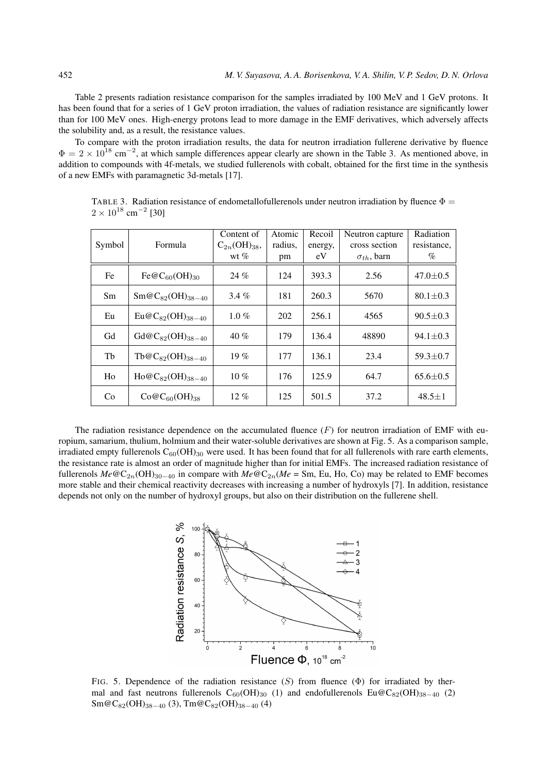Table 2 presents radiation resistance comparison for the samples irradiated by 100 MeV and 1 GeV protons. It has been found that for a series of 1 GeV proton irradiation, the values of radiation resistance are significantly lower than for 100 MeV ones. High-energy protons lead to more damage in the EMF derivatives, which adversely affects the solubility and, as a result, the resistance values.

To compare with the proton irradiation results, the data for neutron irradiation fullerene derivative by fluence  $\Phi = 2 \times 10^{18}$  cm<sup>-2</sup>, at which sample differences appear clearly are shown in the Table 3. As mentioned above, in addition to compounds with 4f-metals, we studied fullerenols with cobalt, obtained for the first time in the synthesis of a new EMFs with paramagnetic 3d-metals [17].

|        |                         | Content of          | Atomic  | Recoil  | Neutron capture      | Radiation      |
|--------|-------------------------|---------------------|---------|---------|----------------------|----------------|
| Symbol | Formula                 | $C_{2n}(OH)_{38}$ , | radius. | energy, | cross section        | resistance,    |
|        |                         | wt $\%$             | pm      | eV      | $\sigma_{th}$ , barn | $\%$           |
| Fe     | $Fe@C_{60}(OH)_{30}$    | 24%                 | 124     | 393.3   | 2.56                 | $47.0 \pm 0.5$ |
| Sm     | $Sm@C_{82}(OH)_{38-40}$ | $3.4\%$             | 181     | 260.3   | 5670                 | $80.1 \pm 0.3$ |
| Eu     | $Eu@C_{82}(OH)_{38-40}$ | $1.0 \%$            | 202     | 256.1   | 4565                 | $90.5 \pm 0.3$ |
| Gd     | $Gd@C_{82}(OH)_{38-40}$ | 40%                 | 179     | 136.4   | 48890                | $94.1 \pm 0.3$ |
| Tb     | $Tb@C_{82}(OH)_{38-40}$ | 19 $%$              | 177     | 136.1   | 23.4                 | $59.3 \pm 0.7$ |
| Ho     | $Ho@C_{82}(OH)_{38-40}$ | $10\%$              | 176     | 125.9   | 64.7                 | $65.6 \pm 0.5$ |
| Co     | $Co@C_{60}(OH)_{38}$    | $12\%$              | 125     | 501.5   | 37.2                 | $48.5 \pm 1$   |

TABLE 3. Radiation resistance of endometallofullerenols under neutron irradiation by fluence  $\Phi =$  $2 \times 10^{18}$  cm<sup>-2</sup> [30]

The radiation resistance dependence on the accumulated fluence  $(F)$  for neutron irradiation of EMF with europium, samarium, thulium, holmium and their water-soluble derivatives are shown at Fig. 5. As a comparison sample, irradiated empty fullerenols  $C_{60}(OH)_{30}$  were used. It has been found that for all fullerenols with rare earth elements, the resistance rate is almost an order of magnitude higher than for initial EMFs. The increased radiation resistance of fullerenols *Me* @C<sub>2n</sub>(OH)<sub>30−40</sub> in compare with *Me* @C<sub>2n</sub>(*Me* = Sm, Eu, Ho, Co) may be related to EMF becomes more stable and their chemical reactivity decreases with increasing a number of hydroxyls [7]. In addition, resistance depends not only on the number of hydroxyl groups, but also on their distribution on the fullerene shell.



FIG. 5. Dependence of the radiation resistance  $(S)$  from fluence  $(\Phi)$  for irradiated by thermal and fast neutrons fullerenols  $C_{60}(OH)_{30}$  (1) and endofullerenols Eu@C<sub>82</sub>(OH)<sub>38</sub><sup>-40</sup> (2)  $Sm@C_{82}(OH)_{38-40}$  (3),  $Tm@C_{82}(OH)_{38-40}$  (4)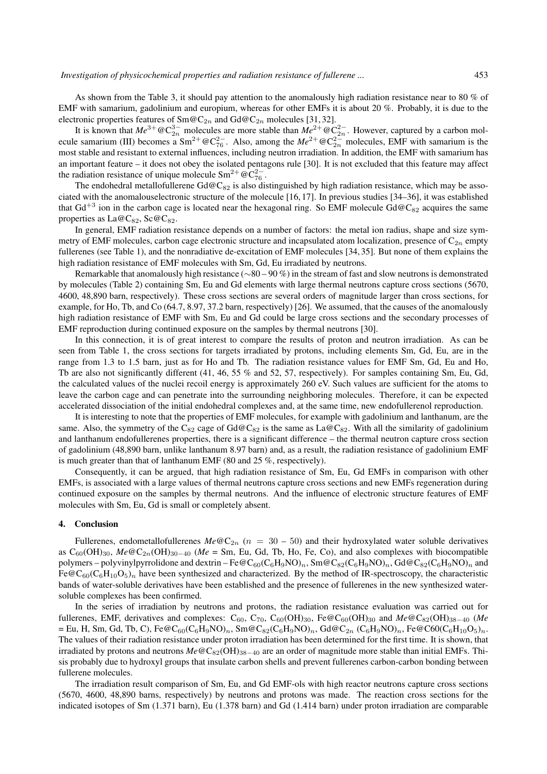As shown from the Table 3, it should pay attention to the anomalously high radiation resistance near to 80 % of EMF with samarium, gadolinium and europium, whereas for other EMFs it is about 20 %. Probably, it is due to the electronic properties features of Sm@C<sub>2n</sub> and Gd@C<sub>2n</sub> molecules [31, 32].

It is known that  $Me^{3+} \omega C_{2n}^{3-}$  molecules are more stable than  $Me^{2+} \omega C_{2n}^{2-}$ . However, captured by a carbon molecule samarium (III) becomes a  $\text{Sm}^{2+} \text{@}C_{76}^{2-}$ . Also, among the  $Me^{2+} \text{@}C_{2n}^{2-}$  molecules, EMF with samarium is the most stable and resistant to external influences, including neutron irradiation. In addition, the EMF with samarium has an important feature – it does not obey the isolated pentagons rule [30]. It is not excluded that this feature may affect the radiation resistance of unique molecule Sm<sup>2+</sup>  $@C_{76}^{2-}$ .

The endohedral metallofullerene  $Gd@C_{82}$  is also distinguished by high radiation resistance, which may be associated with the anomalouselectronic structure of the molecule [16, 17]. In previous studies [34–36], it was established that  $Gd^{+3}$  ion in the carbon cage is located near the hexagonal ring. So EMF molecule  $Gd@C_{82}$  acquires the same properties as  $La@C_{82}$ ,  $Sc@C_{82}$ .

In general, EMF radiation resistance depends on a number of factors: the metal ion radius, shape and size symmetry of EMF molecules, carbon cage electronic structure and incapsulated atom localization, presence of  $C_{2n}$  empty fullerenes (see Table 1), and the nonradiative de-excitation of EMF molecules [34, 35]. But none of them explains the high radiation resistance of EMF molecules with Sm, Gd, Eu irradiated by neutrons.

Remarkable that anomalously high resistance (∼80 – 90 %) in the stream of fast and slow neutrons is demonstrated by molecules (Table 2) containing Sm, Eu and Gd elements with large thermal neutrons capture cross sections (5670, 4600, 48,890 barn, respectively). These cross sections are several orders of magnitude larger than cross sections, for example, for Ho, Tb, and Co (64.7, 8.97, 37.2 barn, respectively) [26]. We assumed, that the causes of the anomalously high radiation resistance of EMF with Sm, Eu and Gd could be large cross sections and the secondary processes of EMF reproduction during continued exposure on the samples by thermal neutrons [30].

In this connection, it is of great interest to compare the results of proton and neutron irradiation. As can be seen from Table 1, the cross sections for targets irradiated by protons, including elements Sm, Gd, Eu, are in the range from 1.3 to 1.5 barn, just as for Ho and Tb. The radiation resistance values for EMF Sm, Gd, Eu and Ho, Tb are also not significantly different (41, 46, 55 % and 52, 57, respectively). For samples containing Sm, Eu, Gd, the calculated values of the nuclei recoil energy is approximately 260 eV. Such values are sufficient for the atoms to leave the carbon cage and can penetrate into the surrounding neighboring molecules. Therefore, it can be expected accelerated dissociation of the initial endohedral complexes and, at the same time, new endofullerenol reproduction.

It is interesting to note that the properties of EMF molecules, for example with gadolinium and lanthanum, are the same. Also, the symmetry of the C<sub>82</sub> cage of Gd@C<sub>82</sub> is the same as La@C<sub>82</sub>. With all the similarity of gadolinium and lanthanum endofullerenes properties, there is a significant difference – the thermal neutron capture cross section of gadolinium (48,890 barn, unlike lanthanum 8.97 barn) and, as a result, the radiation resistance of gadolinium EMF is much greater than that of lanthanum EMF (80 and 25 %, respectively).

Consequently, it can be argued, that high radiation resistance of Sm, Eu, Gd EMFs in comparison with other EMFs, is associated with a large values of thermal neutrons capture cross sections and new EMFs regeneration during continued exposure on the samples by thermal neutrons. And the influence of electronic structure features of EMF molecules with Sm, Eu, Gd is small or completely absent.

### 4. Conclusion

Fullerenes, endometallofullerenes  $Me@C_{2n}$  ( $n = 30 - 50$ ) and their hydroxylated water soluble derivatives as  $C_{60}(OH)_{30}$ ,  $Me@C_{2n}(OH)_{30-40}$  ( $Me = Sm$ , Eu, Gd, Tb, Ho, Fe, Co), and also complexes with biocompatible polymers – polyvinylpyrrolidone and dextrin – Fe $@C_{60}(C_6H_9NO)_n$ , Sm $@C_{82}(C_6H_9NO)_n$ , Gd $@C_{82}(C_6H_9NO)_n$  and Fe@C<sub>60</sub>(C<sub>6</sub>H<sub>10</sub>O<sub>5</sub>)<sub>n</sub> have been synthesized and characterized. By the method of IR-spectroscopy, the characteristic bands of water-soluble derivatives have been established and the presence of fullerenes in the new synthesized watersoluble complexes has been confirmed.

In the series of irradiation by neutrons and protons, the radiation resistance evaluation was carried out for fullerenes, EMF, derivatives and complexes: C<sub>60</sub>, C<sub>70</sub>, C<sub>60</sub>(OH)<sub>30</sub>, Fe@C<sub>60</sub>(OH)<sub>30</sub> and *Me*@C<sub>82</sub>(OH)<sub>38−40</sub> (*Me*  $=$  Eu, H, Sm, Gd, Tb, C), Fe@C<sub>60</sub>(C<sub>6</sub>H<sub>9</sub>NO)<sub>n</sub>, Sm@C<sub>82</sub>(C<sub>6</sub>H<sub>9</sub>NO)<sub>n</sub>, Gd@C<sub>2n</sub> (C<sub>6</sub>H<sub>9</sub>NO)<sub>n</sub>, Fe@C60(C<sub>6</sub>H<sub>10</sub>O<sub>5</sub>)<sub>n</sub>. The values of their radiation resistance under proton irradiation has been determined for the first time. It is shown, that irradiated by protons and neutrons *Me* @C<sub>82</sub>(OH)<sub>38−40</sub> are an order of magnitude more stable than initial EMFs. Thisis probably due to hydroxyl groups that insulate carbon shells and prevent fullerenes carbon-carbon bonding between fullerene molecules.

The irradiation result comparison of Sm, Eu, and Gd EMF-ols with high reactor neutrons capture cross sections (5670, 4600, 48,890 barns, respectively) by neutrons and protons was made. The reaction cross sections for the indicated isotopes of Sm (1.371 barn), Eu (1.378 barn) and Gd (1.414 barn) under proton irradiation are comparable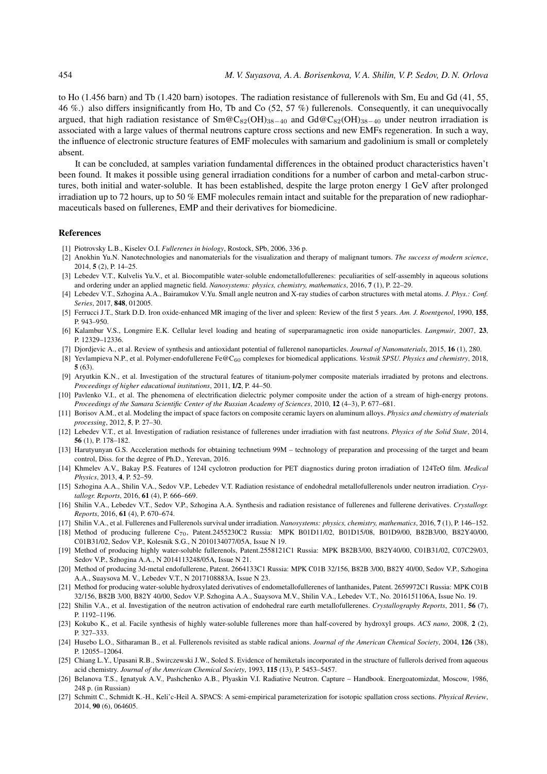to Ho (1.456 barn) and Tb (1.420 barn) isotopes. The radiation resistance of fullerenols with Sm, Eu and Gd (41, 55, 46 %.) also differs insignificantly from Ho, Tb and Co (52, 57 %) fullerenols. Consequently, it can unequivocally argued, that high radiation resistance of Sm@C<sub>82</sub>(OH)<sub>38−40</sub> and Gd@C<sub>82</sub>(OH)<sub>38−40</sub> under neutron irradiation is associated with a large values of thermal neutrons capture cross sections and new EMFs regeneration. In such a way, the influence of electronic structure features of EMF molecules with samarium and gadolinium is small or completely absent.

It can be concluded, at samples variation fundamental differences in the obtained product characteristics haven't been found. It makes it possible using general irradiation conditions for a number of carbon and metal-carbon structures, both initial and water-soluble. It has been established, despite the large proton energy 1 GeV after prolonged irradiation up to 72 hours, up to 50 % EMF molecules remain intact and suitable for the preparation of new radiopharmaceuticals based on fullerenes, EMP and their derivatives for biomedicine.

#### References

- [1] Piotrovsky L.B., Kiselev O.I. *Fullerenes in biology*, Rostock, SPb, 2006, 336 p.
- [2] Anokhin Yu.N. Nanotechnologies and nanomaterials for the visualization and therapy of malignant tumors. *The success of modern science*, 2014, 5 (2), P. 14–25.
- [3] Lebedev V.T., Kulvelis Yu.V., et al. Biocompatible water-soluble endometallofullerenes: peculiarities of self-assembly in aqueous solutions and ordering under an applied magnetic field. *Nanosystems: physics, chemistry, mathematics*, 2016, 7 (1), P. 22–29.
- [4] Lebedev V.T., Szhogina A.A., Bairamukov V.Yu. Small angle neutron and X-ray studies of carbon structures with metal atoms. *J. Phys.: Conf. Series*, 2017, 848, 012005.
- [5] Ferrucci J.T., Stark D.D. Iron oxide-enhanced MR imaging of the liver and spleen: Review of the first 5 years. *Am. J. Roentgenol*, 1990, 155, P. 943–950.
- [6] Kalambur V.S., Longmire E.K. Cellular level loading and heating of superparamagnetic iron oxide nanoparticles. *Langmuir*, 2007, 23, P. 12329–12336.
- [7] Djordjevic A., et al. Review of synthesis and antioxidant potential of fullerenol nanoparticles. *Journal of Nanomaterials*, 2015, 16 (1), 280.
- [8] Yevlampieva N.P., et al. Polymer-endofullerene Fe@C<sup>60</sup> complexes for biomedical applications. *Vestnik SPSU. Physics and chemistry*, 2018, 5 (63).
- [9] Aryutkin K.N., et al. Investigation of the structural features of titanium-polymer composite materials irradiated by protons and electrons. *Proceedings of higher educational institutions*, 2011, 1/2, P. 44–50.
- [10] Pavlenko V.I., et al. The phenomena of electrification dielectric polymer composite under the action of a stream of high-energy protons. *Proceedings of the Samara Scientific Center of the Russian Academy of Sciences*, 2010, 12 (4–3), P. 677–681.
- [11] Borisov A.M., et al. Modeling the impact of space factors on composite ceramic layers on aluminum alloys. *Physics and chemistry of materials processing*, 2012, 5, P. 27–30.
- [12] Lebedev V.T., et al. Investigation of radiation resistance of fullerenes under irradiation with fast neutrons. *Physics of the Solid State*, 2014, 56 (1), P. 178–182.
- [13] Harutyunyan G.S. Acceleration methods for obtaining technetium 99M technology of preparation and processing of the target and beam control, Diss. for the degree of Ph.D., Yerevan, 2016.
- [14] Khmelev A.V., Bakay P.S. Features of 124I cyclotron production for PET diagnostics during proton irradiation of 124TeO film. *Medical Physics*, 2013, 4, P. 52–59.
- [15] Szhogina A.A., Shilin V.A., Sedov V.P., Lebedev V.T. Radiation resistance of endohedral metallofullerenols under neutron irradiation. *Crystallogr. Reports*, 2016, 61 (4), P. 666–669.
- [16] Shilin V.A., Lebedev V.T., Sedov V.P., Szhogina A.A. Synthesis and radiation resistance of fullerenes and fullerene derivatives. *Crystallogr. Reports*, 2016, 61 (4), P. 670–674.
- [17] Shilin V.A., et al. Fullerenes and Fullerenols survival under irradiation. *Nanosystems: physics, chemistry, mathematics*, 2016, 7 (1), P. 146–152.
- [18] Method of producing fullerene C<sub>70</sub>, Patent.2455230C2 Russia: MPK B01D11/02, B01D15/08, B01D9/00, B82B3/00, B82Y40/00, C01B31/02, Sedov V.P., Kolesnik S.G., N 2010134077/05A, Issue N 19.
- [19] Method of producing highly water-soluble fullerenols, Patent.2558121C1 Russia: MPK B82B3/00, B82Y40/00, C01B31/02, C07C29/03, Sedov V.P., Szhogina A.A., N 2014113248/05A, Issue N 21.
- [20] Method of producing 3d-metal endofullerene, Patent. 2664133C1 Russia: MPK C01B 32/156, B82B 3/00, B82Y 40/00, Sedov V.P., Szhogina A.A., Suaysova M. V., Lebedev V.T., N 2017108883A, Issue N 23.
- [21] Method for producing water-soluble hydroxylated derivatives of endometallofullerenes of lanthanides, Patent. 2659972C1 Russia: MPK C01B 32/156, B82B 3/00, B82Y 40/00, Sedov V.P. Szhogina A.A., Suaysova M.V., Shilin V.A., Lebedev V.T., No. 2016151106A, Issue No. 19.
- [22] Shilin V.A., et al. Investigation of the neutron activation of endohedral rare earth metallofullerenes. *Crystallography Reports*, 2011, 56 (7), P. 1192–1196.
- [23] Kokubo K., et al. Facile synthesis of highly water-soluble fullerenes more than half-covered by hydroxyl groups. *ACS nano*, 2008, 2 (2), P. 327–333.
- [24] Husebo L.O., Sitharaman B., et al. Fullerenols revisited as stable radical anions. *Journal of the American Chemical Society*, 2004, 126 (38), P. 12055–12064.
- [25] Chiang L.Y., Upasani R.B., Swirczewski J.W., Soled S. Evidence of hemiketals incorporated in the structure of fullerols derived from aqueous acid chemistry. *Journal of the American Chemical Society*, 1993, 115 (13), P. 5453–5457.
- [26] Belanova T.S., Ignatyuk A.V., Pashchenko A.B., Plyaskin V.I. Radiative Neutron. Capture Handbook. Energoatomizdat, Moscow, 1986, 248 p. (in Russian)
- [27] Schmitt C., Schmidt K.-H., Keli'c-Heil A. SPACS: A semi-empirical parameterization for isotopic spallation cross sections. *Physical Review*, 2014, 90 (6), 064605.